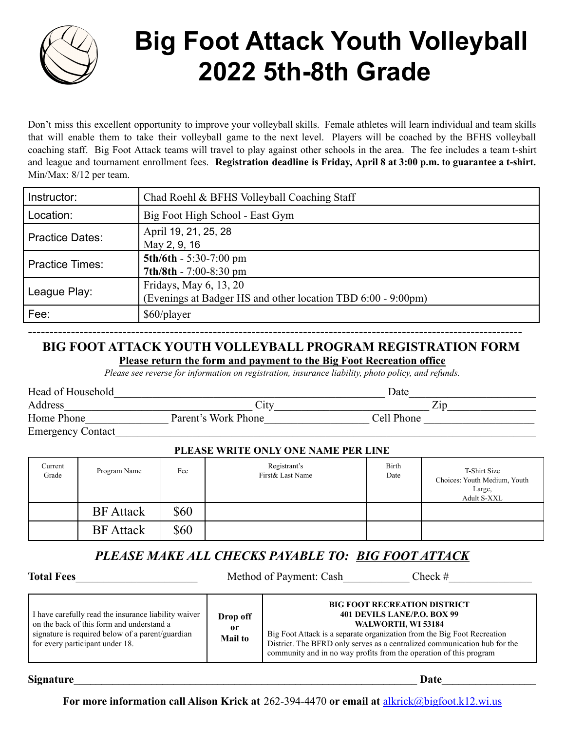

# **Big Foot Attack Youth Volleyball 2022 5th-8th Grade**

Don't miss this excellent opportunity to improve your volleyball skills. Female athletes will learn individual and team skills that will enable them to take their volleyball game to the next level. Players will be coached by the BFHS volleyball coaching staff. Big Foot Attack teams will travel to play against other schools in the area. The fee includes a team t-shirt and league and tournament enrollment fees. **Registration deadline is Friday, April 8 at 3:00 p.m. to guarantee a t-shirt.** Min/Max: 8/12 per team.

| Instructor:            | Chad Roehl & BFHS Volleyball Coaching Staff                                            |  |  |
|------------------------|----------------------------------------------------------------------------------------|--|--|
| Location:              | Big Foot High School - East Gym                                                        |  |  |
| <b>Practice Dates:</b> | April 19, 21, 25, 28<br>May 2, 9, 16                                                   |  |  |
| <b>Practice Times:</b> | $5th/6th - 5:30-7:00$ pm<br>$7th/8th - 7:00-8:30$ pm                                   |  |  |
| League Play:           | Fridays, May 6, 13, 20<br>(Evenings at Badger HS and other location TBD 6:00 - 9:00pm) |  |  |
| Fee:                   | \$60/player                                                                            |  |  |

## ------------------------------------------------------------------------------------------------------------------- **BIG FOOT ATTACK YOUTH VOLLEYBALL PROGRAM REGISTRATION FORM Please return the form and payment to the Big Foot Recreation office**

*Please see reverse for information on registration, insurance liability, photo policy, and refunds.*

| Head of Household        |                     | Date       |  |
|--------------------------|---------------------|------------|--|
| Address                  | City                | $\rm Zip$  |  |
| Home Phone               | Parent's Work Phone | Cell Phone |  |
| <b>Emergency Contact</b> |                     |            |  |

### **PLEASE WRITE ONLY ONE NAME PER LINE**

| Current<br>Grade | Program Name     | Fee  | Registrant's<br>First & Last Name | Birth<br>Date | T-Shirt Size<br>Choices: Youth Medium, Youth<br>Large,<br>Adult S-XXL |
|------------------|------------------|------|-----------------------------------|---------------|-----------------------------------------------------------------------|
|                  | <b>BF</b> Attack | \$60 |                                   |               |                                                                       |
|                  | <b>BF</b> Attack | \$60 |                                   |               |                                                                       |

# *PLEASE MAKE ALL CHECKS PAYABLE TO: BIG FOOT ATTACK*

**Total Fees** Method of Payment: Cash Check #

| I have carefully read the insurance liability waiver<br>on the back of this form and understand a<br>signature is required below of a parent/guardian<br>for every participant under 18. | Drop off<br>0r<br><b>Mail to</b> | <b>BIG FOOT RECREATION DISTRICT</b><br>401 DEVILS LANE/P.O. BOX 99<br>WALWORTH, WI 53184<br>Big Foot Attack is a separate organization from the Big Foot Recreation<br>District. The BFRD only serves as a centralized communication hub for the<br>community and in no way profits from the operation of this program |
|------------------------------------------------------------------------------------------------------------------------------------------------------------------------------------------|----------------------------------|------------------------------------------------------------------------------------------------------------------------------------------------------------------------------------------------------------------------------------------------------------------------------------------------------------------------|
|------------------------------------------------------------------------------------------------------------------------------------------------------------------------------------------|----------------------------------|------------------------------------------------------------------------------------------------------------------------------------------------------------------------------------------------------------------------------------------------------------------------------------------------------------------------|

**Signature** 

**For more information call Alison Krick at** 262-394-4470 **or email at** [alkrick@bigfoot.k12.wi.us](mailto:alkrick@bigfoot.k12.wi.us)